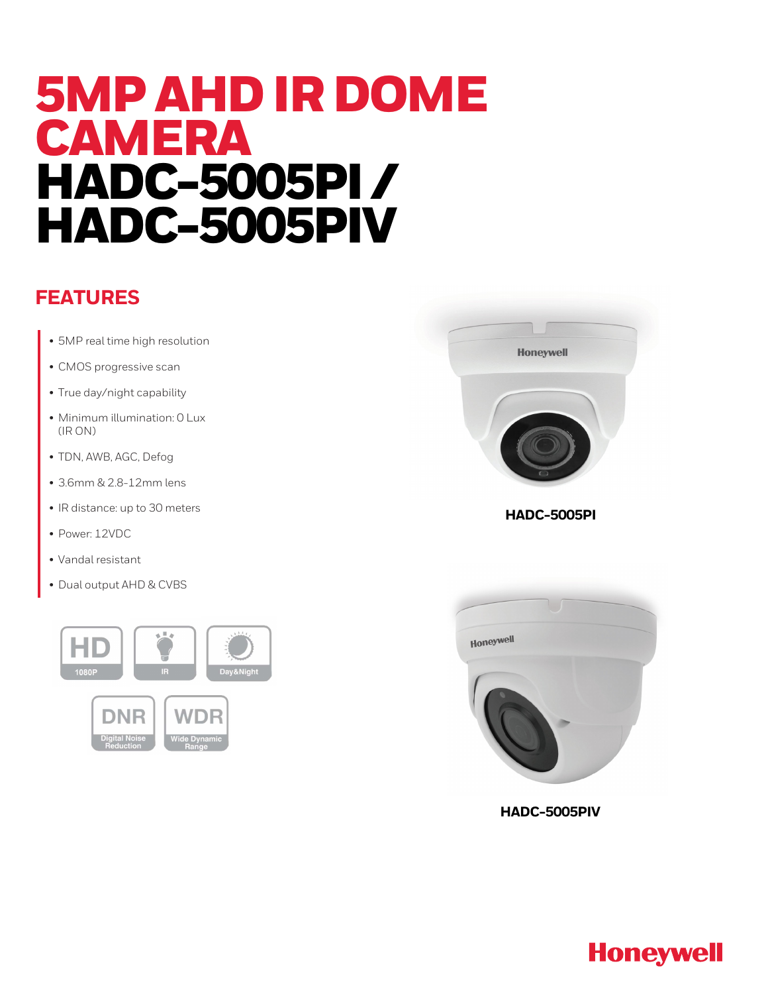# 5MP AHD IR DOME CAMERA HADC-5005PI / HADC-5005PIV

#### **FEATURES**

- 5MP real time high resolution
- CMOS progressive scan
- True day/night capability
- Minimum illumination: 0 Lux (IR ON)
- TDN, AWB, AGC, Defog
- 3.6mm & 2.8-12mm lens
- IR distance: up to 30 meters
- Power: 12VDC
- Vandal resistant
- Dual output AHD & CVBS





**HADC-5005PI**



**HADC-5005PIV**

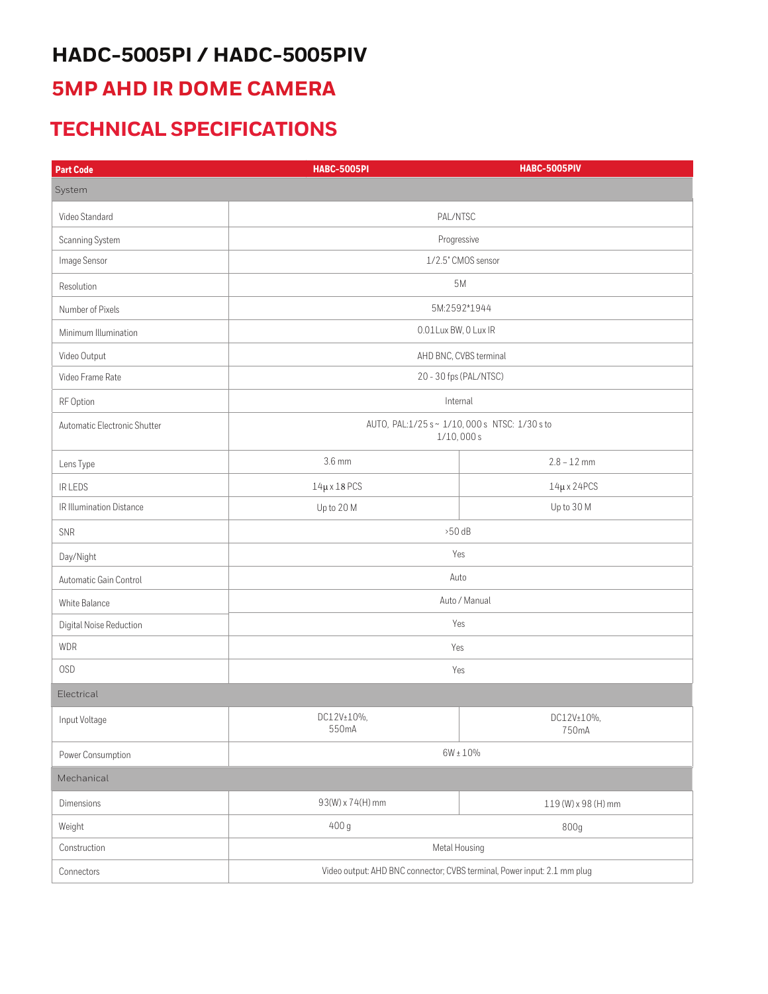## **HADC-5005PI / HADC-5005PIV**

#### **5MP AHD IR DOME CAMERA**

#### **TECHNICAL SPECIFICATIONS**

| <b>Part Code</b>             | <b>HABC-5005PI</b>                                                       | <b>HABC-5005PIV</b> |
|------------------------------|--------------------------------------------------------------------------|---------------------|
| System                       |                                                                          |                     |
| Video Standard               | PAL/NTSC                                                                 |                     |
| Scanning System              | Progressive                                                              |                     |
| Image Sensor                 | 1/2.5" CMOS sensor                                                       |                     |
| Resolution                   | 5M                                                                       |                     |
| Number of Pixels             | 5M:2592*1944                                                             |                     |
| Minimum Illumination         | 0.01Lux BW, 0 Lux IR                                                     |                     |
| Video Output                 | AHD BNC, CVBS terminal                                                   |                     |
| Video Frame Rate             | 20 - 30 fps (PAL/NTSC)                                                   |                     |
| RF Option                    | Internal                                                                 |                     |
| Automatic Electronic Shutter | AUTO, PAL:1/25 s~1/10,000 s NTSC: 1/30 s to<br>1/10,000s                 |                     |
| Lens Type                    | 3.6 mm                                                                   | $2.8 - 12$ mm       |
| IR LEDS                      | $14\mu \times 18$ PCS                                                    | $14\mu$ x 24PCS     |
| IR Illumination Distance     | Up to 20 M                                                               | Up to 30 M          |
| SNR                          | $>50$ dB                                                                 |                     |
| Day/Night                    | Yes                                                                      |                     |
| Automatic Gain Control       | Auto                                                                     |                     |
| White Balance                | Auto / Manual                                                            |                     |
| Digital Noise Reduction      | Yes                                                                      |                     |
| <b>WDR</b>                   | Yes                                                                      |                     |
| <b>OSD</b>                   | Yes                                                                      |                     |
| Electrical                   |                                                                          |                     |
| Input Voltage                | DC12V±10%,<br>550mA                                                      | DC12V±10%,<br>750mA |
| Power Consumption            | $6W \pm 10\%$                                                            |                     |
| Mechanical                   |                                                                          |                     |
| Dimensions                   | 93(W) x 74(H) mm                                                         | 119 (W) x 98 (H) mm |
| Weight                       | 400 g                                                                    | 800g                |
| Construction                 | Metal Housing                                                            |                     |
| Connectors                   | Video output: AHD BNC connector; CVBS terminal, Power input: 2.1 mm plug |                     |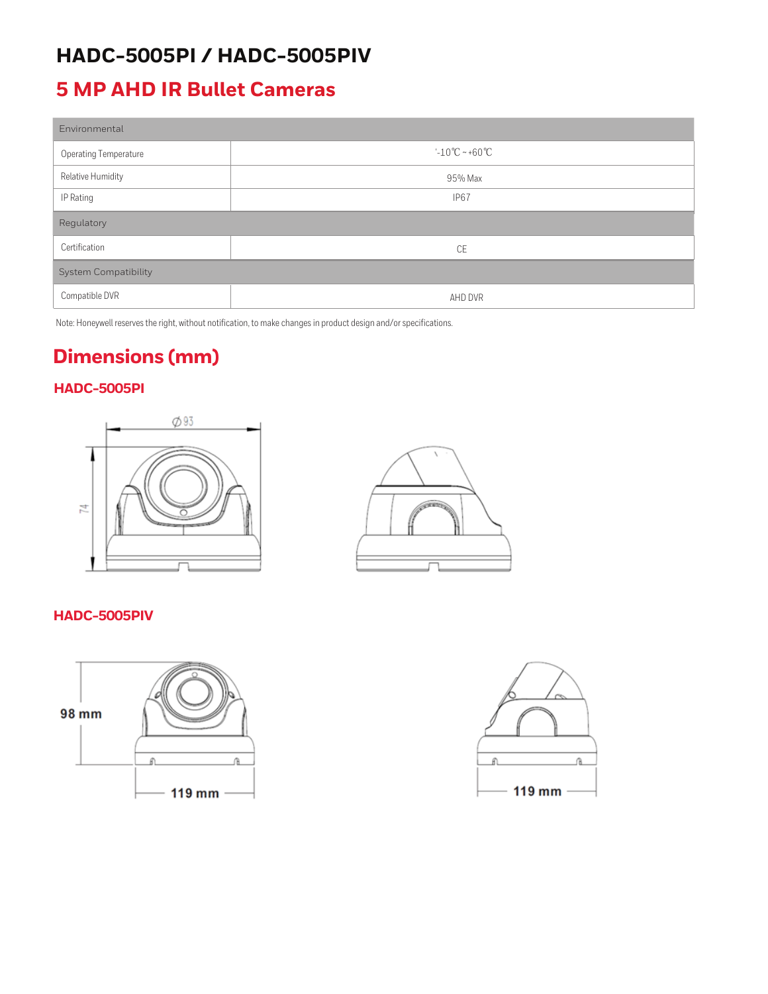#### **HADC-5005PI / HADC-5005PIV**

#### **5 MP AHD IR Bullet Cameras**

| Environmental                |                                    |  |
|------------------------------|------------------------------------|--|
| <b>Operating Temperature</b> | $-10^{\circ}$ C ~ +60 $^{\circ}$ C |  |
| Relative Humidity            | 95% Max                            |  |
| IP Rating                    | IP <sub>67</sub>                   |  |
| Regulatory                   |                                    |  |
| Certification                | CE                                 |  |
| <b>System Compatibility</b>  |                                    |  |
| Compatible DVR               | AHD DVR                            |  |

Note: Honeywell reserves the right, without notification, to make changes in product design and/or specifications.

### **Dimensions (mm)**

#### **HADC-5005PI**





#### **HADC-5005PIV**